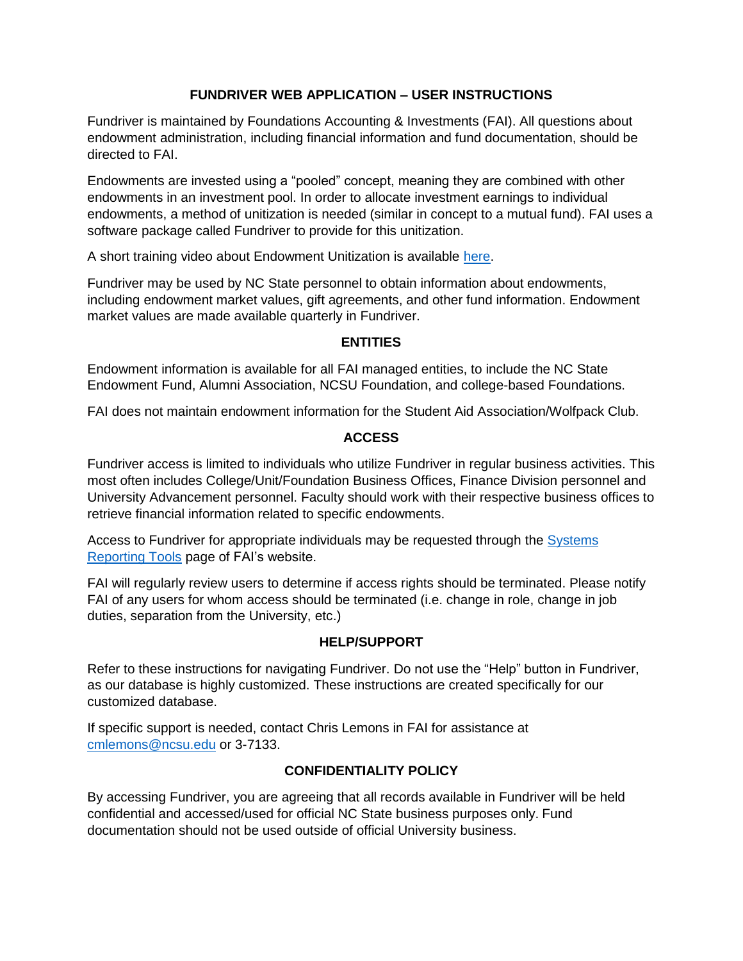# **FUNDRIVER WEB APPLICATION – USER INSTRUCTIONS**

Fundriver is maintained by Foundations Accounting & Investments (FAI). All questions about endowment administration, including financial information and fund documentation, should be directed to FAI.

Endowments are invested using a "pooled" concept, meaning they are combined with other endowments in an investment pool. In order to allocate investment earnings to individual endowments, a method of unitization is needed (similar in concept to a mutual fund). FAI uses a software package called Fundriver to provide for this unitization.

A short training video about Endowment Unitization is available [here.](https://investments.ofa.ncsu.edu/endowment-university-2021/)

Fundriver may be used by NC State personnel to obtain information about endowments, including endowment market values, gift agreements, and other fund information. Endowment market values are made available quarterly in Fundriver.

# **ENTITIES**

Endowment information is available for all FAI managed entities, to include the NC State Endowment Fund, Alumni Association, NCSU Foundation, and college-based Foundations.

FAI does not maintain endowment information for the Student Aid Association/Wolfpack Club.

# **ACCESS**

Fundriver access is limited to individuals who utilize Fundriver in regular business activities. This most often includes College/Unit/Foundation Business Offices, Finance Division personnel and University Advancement personnel. Faculty should work with their respective business offices to retrieve financial information related to specific endowments.

Access to Fundriver for appropriate individuals may be requested through the **Systems** [Reporting Tools](https://foundationsaccounting.ofa.ncsu.edu/additional-resources/additional-resources-systems-reporting-tools/) page of FAI's website.

FAI will regularly review users to determine if access rights should be terminated. Please notify FAI of any users for whom access should be terminated (i.e. change in role, change in job duties, separation from the University, etc.)

## **HELP/SUPPORT**

Refer to these instructions for navigating Fundriver. Do not use the "Help" button in Fundriver, as our database is highly customized. These instructions are created specifically for our customized database.

If specific support is needed, contact Chris Lemons in FAI for assistance at [cmlemons@ncsu.edu](mailto:cmlemons@ncsu.edu) or 3-7133.

# **CONFIDENTIALITY POLICY**

By accessing Fundriver, you are agreeing that all records available in Fundriver will be held confidential and accessed/used for official NC State business purposes only. Fund documentation should not be used outside of official University business.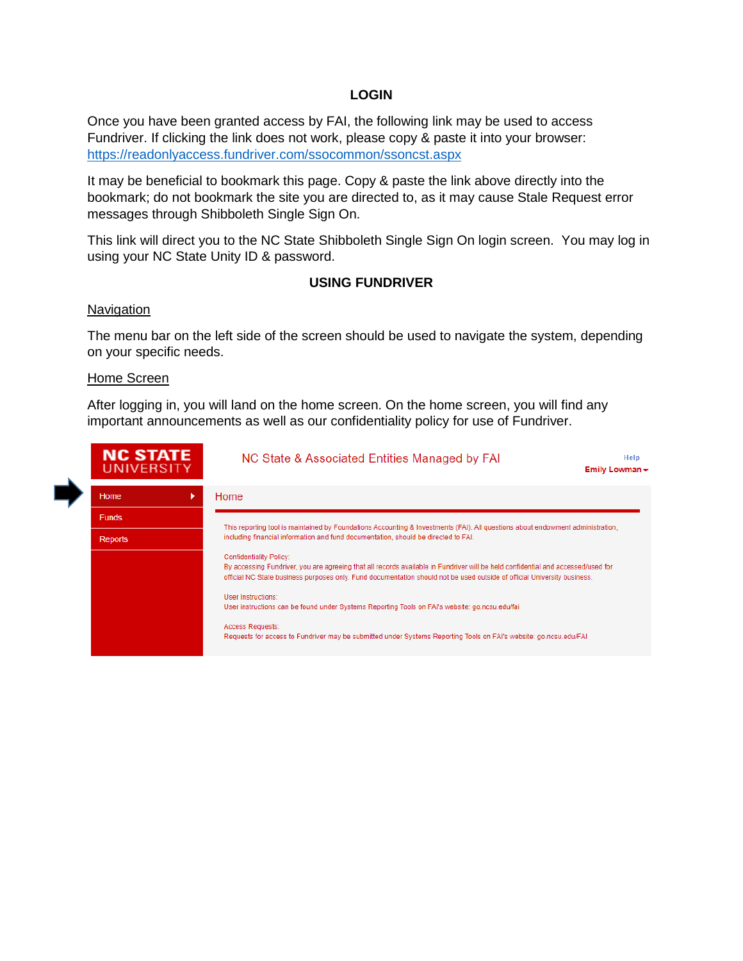## **LOGIN**

Once you have been granted access by FAI, the following link may be used to access Fundriver. If clicking the link does not work, please copy & paste it into your browser: <https://readonlyaccess.fundriver.com/ssocommon/ssoncst.aspx>

It may be beneficial to bookmark this page. Copy & paste the link above directly into the bookmark; do not bookmark the site you are directed to, as it may cause Stale Request error messages through Shibboleth Single Sign On.

This link will direct you to the NC State Shibboleth Single Sign On login screen. You may log in using your NC State Unity ID & password.

### **USING FUNDRIVER**

### **Navigation**

The menu bar on the left side of the screen should be used to navigate the system, depending on your specific needs.

#### Home Screen

After logging in, you will land on the home screen. On the home screen, you will find any important announcements as well as our confidentiality policy for use of Fundriver.

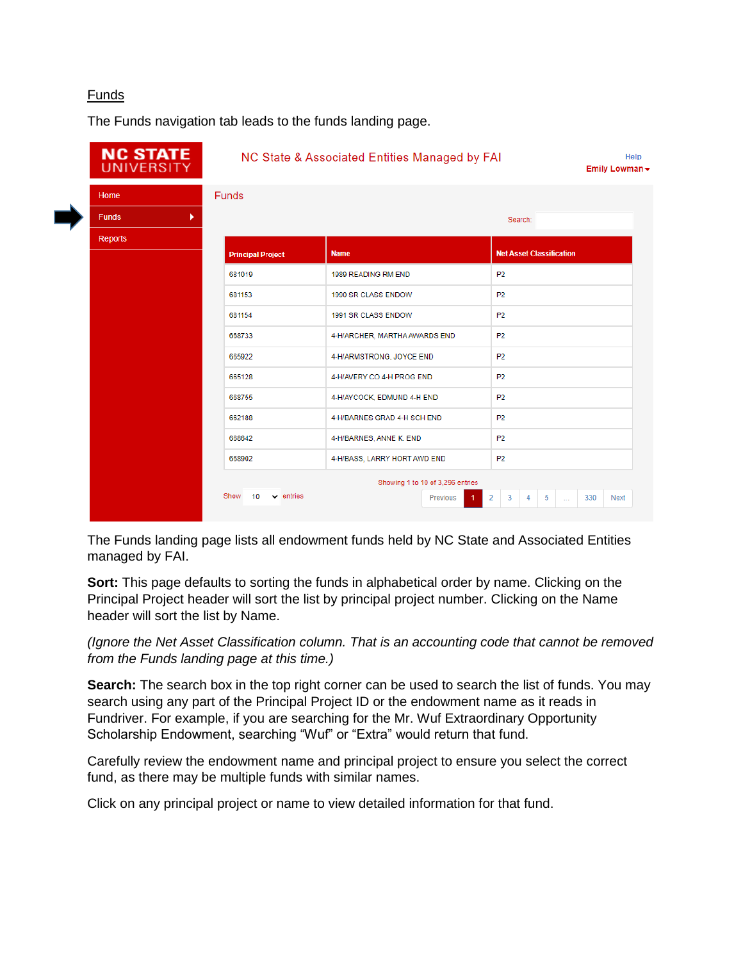# Funds

The Funds navigation tab leads to the funds landing page.

| <b>NC STATE</b><br><b>UNIVERSITY</b> |                              | NC State & Associated Entities Managed by FAI |                                  |                |                                 | Help<br>Emily Lowman - |
|--------------------------------------|------------------------------|-----------------------------------------------|----------------------------------|----------------|---------------------------------|------------------------|
| Home                                 | <b>Funds</b>                 |                                               |                                  |                |                                 |                        |
| <b>Funds</b><br>r.                   |                              |                                               |                                  | Search:        |                                 |                        |
| <b>Reports</b>                       |                              |                                               |                                  |                |                                 |                        |
|                                      | <b>Principal Project</b>     | <b>Name</b>                                   |                                  |                | <b>Net Asset Classification</b> |                        |
|                                      | 681019                       | 1989 READING RM END                           |                                  | P <sub>2</sub> |                                 |                        |
|                                      | 681153                       | 1990 SR CLASS ENDOW                           | <b>P2</b>                        |                |                                 |                        |
|                                      | 681154                       | 1991 SR CLASS ENDOW                           |                                  | <b>P2</b>      |                                 |                        |
|                                      | 668733                       | 4-H/ARCHER, MARTHA AWARDS END                 |                                  | P <sub>2</sub> |                                 |                        |
|                                      | 665922                       | 4-H/ARMSTRONG, JOYCE END                      |                                  | P <sub>2</sub> |                                 |                        |
|                                      | 665128                       | 4-H/AVERY CO 4-H PROG END                     |                                  | <b>P2</b>      |                                 |                        |
|                                      | 668755                       | 4-H/AYCOCK, EDMUND 4-H END                    |                                  | <b>P2</b>      |                                 |                        |
|                                      | 662188                       | 4-H/BARNES GRAD 4-H SCH END                   |                                  | <b>P2</b>      |                                 |                        |
|                                      | 668642                       | 4-H/BARNES, ANNE K. END                       |                                  | P <sub>2</sub> |                                 |                        |
|                                      | 668902                       | 4-H/BASS, LARRY HORT AWD END                  |                                  | P <sub>2</sub> |                                 |                        |
|                                      |                              |                                               | Showing 1 to 10 of 3,296 entries |                |                                 |                        |
|                                      | Show<br>$\vee$ entries<br>10 |                                               | Previous<br>$\mathbf{1}$         | 2<br>3         | 5<br>4<br>$\sim$                | 330<br><b>Next</b>     |
|                                      |                              |                                               |                                  |                |                                 |                        |

The Funds landing page lists all endowment funds held by NC State and Associated Entities managed by FAI.

**Sort:** This page defaults to sorting the funds in alphabetical order by name. Clicking on the Principal Project header will sort the list by principal project number. Clicking on the Name header will sort the list by Name.

*(Ignore the Net Asset Classification column. That is an accounting code that cannot be removed from the Funds landing page at this time.)*

**Search:** The search box in the top right corner can be used to search the list of funds. You may search using any part of the Principal Project ID or the endowment name as it reads in Fundriver. For example, if you are searching for the Mr. Wuf Extraordinary Opportunity Scholarship Endowment, searching "Wuf" or "Extra" would return that fund.

Carefully review the endowment name and principal project to ensure you select the correct fund, as there may be multiple funds with similar names.

Click on any principal project or name to view detailed information for that fund.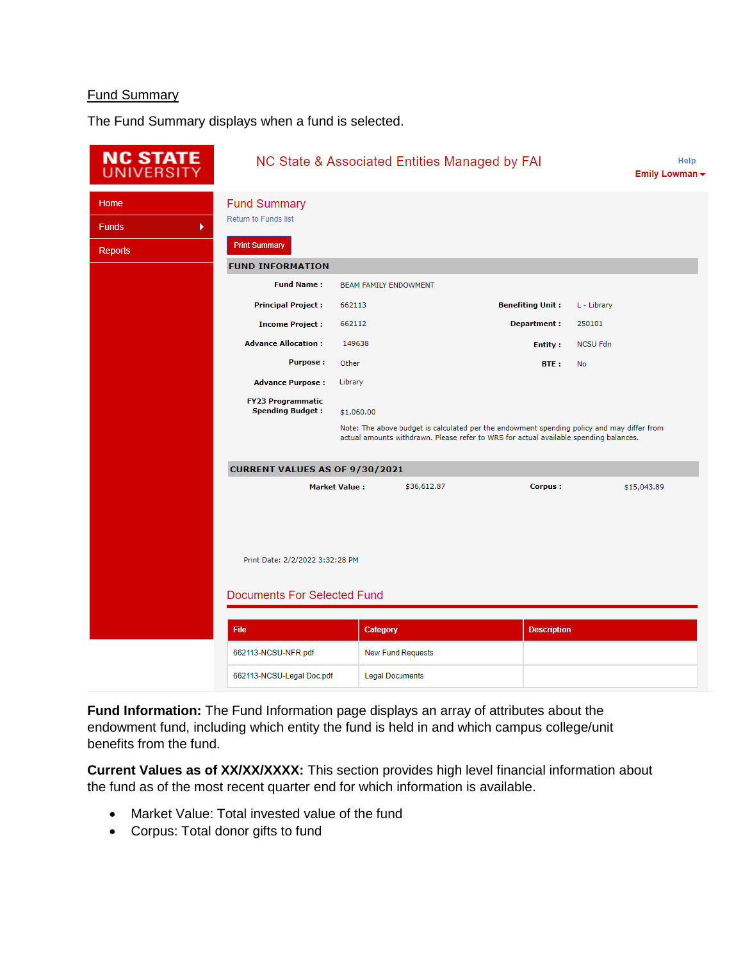## Fund Summary

The Fund Summary displays when a fund is selected.



**Fund Information:** The Fund Information page displays an array of attributes about the endowment fund, including which entity the fund is held in and which campus college/unit benefits from the fund.

**Current Values as of XX/XX/XXXX:** This section provides high level financial information about the fund as of the most recent quarter end for which information is available.

- Market Value: Total invested value of the fund
- Corpus: Total donor gifts to fund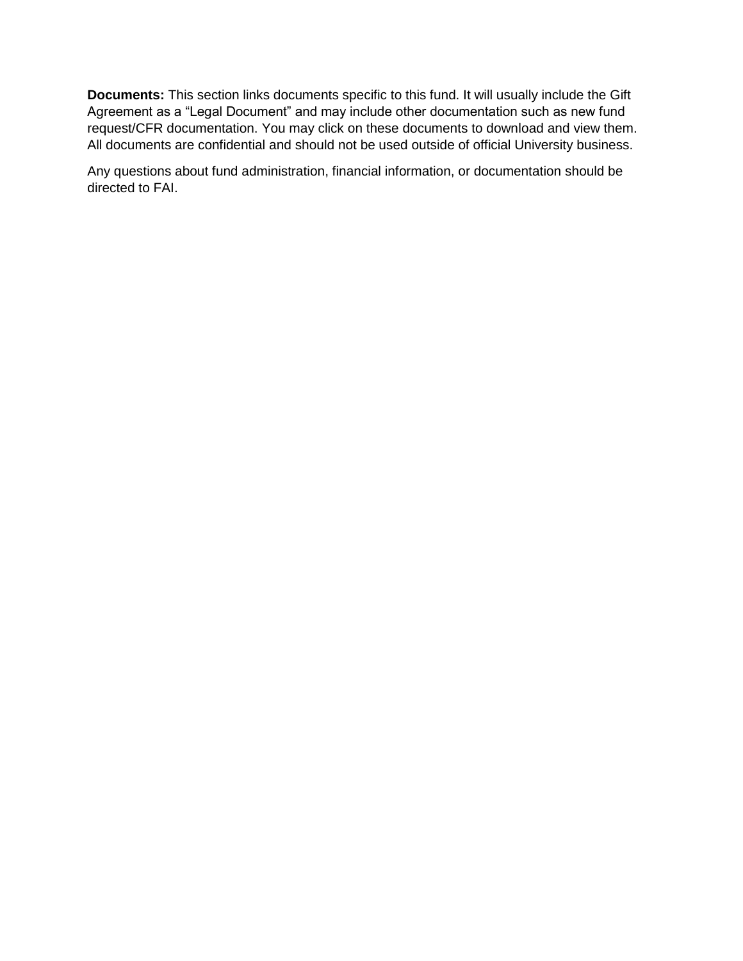**Documents:** This section links documents specific to this fund. It will usually include the Gift Agreement as a "Legal Document" and may include other documentation such as new fund request/CFR documentation. You may click on these documents to download and view them. All documents are confidential and should not be used outside of official University business.

Any questions about fund administration, financial information, or documentation should be directed to FAI.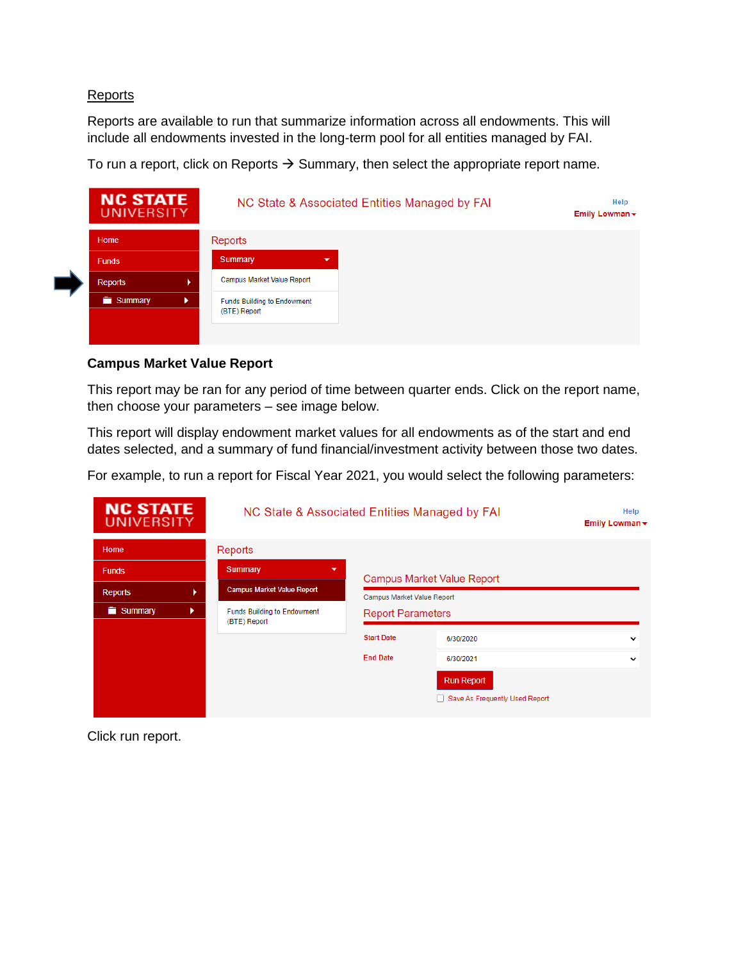### **Reports**

Reports are available to run that summarize information across all endowments. This will include all endowments invested in the long-term pool for all entities managed by FAI.

To run a report, click on Reports  $\rightarrow$  Summary, then select the appropriate report name.



## **Campus Market Value Report**

This report may be ran for any period of time between quarter ends. Click on the report name, then choose your parameters – see image below.

This report will display endowment market values for all endowments as of the start and end dates selected, and a summary of fund financial/investment activity between those two dates.

For example, to run a report for Fiscal Year 2021, you would select the following parameters:

| <b>NC STATE</b><br><b>UNIVERSITY</b> | NC State & Associated Entities Managed by FAI<br>Help<br>Emily Lowman $\star$ |                                                        |                                   |             |  |  |  |  |  |
|--------------------------------------|-------------------------------------------------------------------------------|--------------------------------------------------------|-----------------------------------|-------------|--|--|--|--|--|
| Home                                 | Reports                                                                       |                                                        |                                   |             |  |  |  |  |  |
| <b>Funds</b>                         | Summary<br>▼                                                                  |                                                        | <b>Campus Market Value Report</b> |             |  |  |  |  |  |
| <b>Reports</b>                       | <b>Campus Market Value Report</b>                                             | Campus Market Value Report<br><b>Report Parameters</b> |                                   |             |  |  |  |  |  |
| Summary<br>ь                         | <b>Funds Building to Endowment</b><br>(BTE) Report                            |                                                        |                                   |             |  |  |  |  |  |
|                                      |                                                                               | <b>Start Date</b>                                      | 6/30/2020                         | $\check{ }$ |  |  |  |  |  |
|                                      |                                                                               | <b>End Date</b>                                        | 6/30/2021                         | $\check{ }$ |  |  |  |  |  |
|                                      |                                                                               |                                                        | <b>Run Report</b>                 |             |  |  |  |  |  |
|                                      |                                                                               |                                                        | Save As Frequently Used Report    |             |  |  |  |  |  |
|                                      |                                                                               |                                                        |                                   |             |  |  |  |  |  |

Click run report.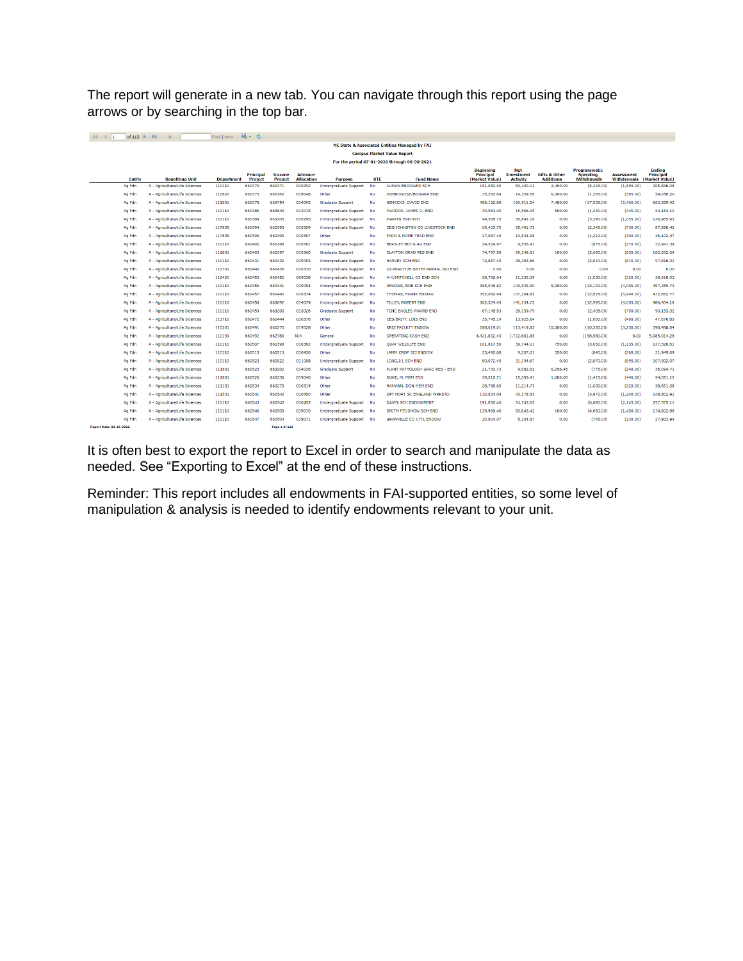The report will generate in a new tab. You can navigate through this report using the page arrows or by searching in the top bar.

|                                | of 113 $\triangleright$ $\triangleright$      |                               | Find Next Most (2) |                                    |                                 |                                     |                              |            |                                      |                                                        |                                                    |                                              |                                                       |                                         |                                                     |
|--------------------------------|-----------------------------------------------|-------------------------------|--------------------|------------------------------------|---------------------------------|-------------------------------------|------------------------------|------------|--------------------------------------|--------------------------------------------------------|----------------------------------------------------|----------------------------------------------|-------------------------------------------------------|-----------------------------------------|-----------------------------------------------------|
|                                | NC State & Associated Entities Managed by FAI |                               |                    |                                    |                                 |                                     |                              |            |                                      |                                                        |                                                    |                                              |                                                       |                                         |                                                     |
|                                | <b>Campus Market Value Report</b>             |                               |                    |                                    |                                 |                                     |                              |            |                                      |                                                        |                                                    |                                              |                                                       |                                         |                                                     |
|                                | For the period 07-01-2020 through 06-30-2021  |                               |                    |                                    |                                 |                                     |                              |            |                                      |                                                        |                                                    |                                              |                                                       |                                         |                                                     |
|                                | Entity                                        | <b>Benefiting Unit</b>        | <b>Department</b>  | <b>Principal</b><br><b>Project</b> | <b>Income</b><br><b>Project</b> | <b>Advance</b><br><b>Allocation</b> | <b>Purpose</b>               | <b>BTE</b> | <b>Fund Name</b>                     | <b>Beginning</b><br><b>Principal</b><br>(Market Value) | <b>Net</b><br><b>Investment</b><br><b>Activity</b> | <b>Gifts &amp; Other</b><br><b>Additions</b> | Programmatic<br><b>Spending</b><br><b>Withdrawals</b> | <b>Assessment</b><br><b>Withdrawals</b> | <b>Ending</b><br><b>Principal</b><br>(Market Value) |
|                                | Ag Fdn                                        | A - Agriculture/Life Sciences | 110110             | 660370                             | 660371                          | 010292                              | <b>Undergraduate Support</b> | <b>No</b>  | AUMAN ENDOWED SCH                    | 151.050.95                                             | 59,490.13                                          | 2,400.00                                     | (5,415.00)                                            | (1,690.00)                              | 205,836.08                                          |
|                                | Ag Fdn                                        | A - Agriculture/Life Sciences | 110820             | 660373                             | 660360                          | 019048                              | Other                        | No         | DOBROGOSZ/BIOGAIA END                | 35,350.64                                              | 14,359.56                                          | 6,000.00                                     | (1,265.00)                                            | (395.00)                                | 54,050.20                                           |
|                                | Ag Fdn                                        | A - Agriculture/Life Sciences | 111801             | 660378                             | 663754                          | 014093                              | <b>Graduate Support</b>      | No         | NIMOCKS, DAVID END                   | 488,162.88                                             | 190.911.54                                         | 7,480.00                                     | (17, 505.00)                                          | (5,460.00)                              | 663,589.42                                          |
|                                | Ag Fdn                                        | A - Agriculture/Life Sciences | 110110             | 660386                             | 663640                          | 013015                              | Undergraduate Support        | <b>No</b>  | MADDOX, JAMES G, END                 | 39,961.05                                              | 15,568.05                                          | 500.00                                       | (1,430.00)                                            | (445.00)                                | 54,154.10                                           |
|                                | Ag Fdn                                        | A - Agriculture/Life Sciences | 110110             | 660389                             | 663205                          | 010295                              | Undergraduate Support No     |            | <b>MARTIN END SCH</b>                | 94,568.75                                              | 36,842.18                                          | 0.00                                         | (3,390.00)                                            | (1,055.00)                              | 126,965.93                                          |
|                                | Ag Fdn                                        | A - Agriculture/Life Sciences | 117835             | 660394                             | 660393                          | 010359                              | Undergraduate Support No     |            | <b>CES/JOHNSTON CO LIVESTOCK END</b> | 65,433.70                                              | 25,491.72                                          | 0.00                                         | (2,345.00)                                            | (730.00)                                | 87.850.42                                           |
|                                | Ag Fdn                                        | A - Agriculture/Life Sciences | 117835             | 660396                             | 660395                          | 010357                              | Other                        | No         | FARM & HOME TRAD END                 | 27,067.49                                              | 10,544.98                                          | 0.00                                         | (1,210.00)                                            | (300.00)                                | 36,102.47                                           |
|                                | Ag Fdn                                        | A - Agriculture/Life Sciences | 110110             | 660402                             | 660388                          | 010361                              | <b>Undergraduate Support</b> | <b>No</b>  | BEASLEY BIO & AG END                 | 24,529.97                                              | 9.556.41                                           | 0.00                                         | (875.00)                                              | (270.00)                                | 32,941.38                                           |
|                                | Ag Fdn                                        | A - Agriculture/Life Sciences | 111801             | 660403                             | 660397                          | 010360                              | <b>Graduate Support</b>      | No         | <b>CLAYTON GRAD RES END</b>          | 74,797.58                                              | 29,149.51                                          | 100.00                                       | (2,680,00)                                            | (835.00)                                | 100.532.09                                          |
|                                | Ag Fdn                                        | A - Agriculture/Life Sciences | 110110             | 660431                             | 660430                          | 019053                              | Undergraduate Support No     |            | <b>HARVEY SCH END</b>                | 72,857.45                                              | 28,383,86                                          | 0.00                                         | (2,610.00)                                            | (815.00)                                | 97,816.31                                           |
|                                | Ag Fdn                                        | A - Agriculture/Life Sciences | 110701             | 660440                             | 660436                          | 010370                              | Undergraduate Support No     |            | ZZ-INACTIVE-SMITH ANIMAL SCI END     | 0.00                                                   | 0.00                                               | 0.00                                         | 0.00                                                  | 0.00                                    | 0.00                                                |
|                                | Ag Fdn                                        | A - Agriculture/Life Sciences | 112420             | 660453                             | 660452                          | 069038                              | Undergraduate Support No     |            | 4-H/MITCHELL CO END SCH              | 28,762.64                                              | 11,205.39                                          | 0.00                                         | (1,030.00)                                            | (320.00)                                | 38,618.03                                           |
|                                | Ag Fdn                                        | A - Agriculture/Life Sciences | 110110             | 660456                             | 660441                          | 019054                              | Undergraduate Support No     |            | JENKINS, BOB SCH END                 | 365,948,82                                             | 143,525,90                                         | 5,000.00                                     | (13, 120.00)                                          | (4.095.00)                              | 497.259.72                                          |
|                                | Ag Fdn                                        | A - Agriculture/Life Sciences | 110110             | 660457                             | 660442                          | 010374                              | Undergraduate Support No     |            | <b>THOMAS, FRANK ENDOW</b>           | 352,082.94                                             | 137,164.83                                         | 0.00                                         | (12,625.00)                                           | (3,940.00)                              | 472,682.77                                          |
|                                | Ag Fdn                                        | A - Agriculture/Life Sciences | 110110             | 660458                             | 663692                          | 014079                              | <b>Undergraduate Support</b> | <b>No</b>  | <b>TILLEY, ROBERT END</b>            | 362.324.45                                             | 141.154.73                                         | 0.00                                         | (12.990.00)                                           | (4.055.00)                              | 486,434.18                                          |
|                                | Ag Fdn                                        | A - Agriculture/Life Sciences | 110110             | 660459                             | 663200                          | 013026                              | <b>Graduate Support</b>      | No         | TCNC EAGLES AWARD END                | 67.148.53                                              | 26.159.79                                          | 0.00                                         | (2,405.00)                                            | (750.00)                                | 90.153.32                                           |
|                                | Ag Fdn                                        | A - Agriculture/Life Sciences | 113710             | 660472                             | 660444                          | 010376                              | Other                        | No         | CES/BRITT, LOIS END                  | 35,745.19                                              | 13,925.64                                          | 0.00                                         | (1,600.00)                                            | (400.00)                                | 47,670.83                                           |
|                                | Ag Fdn                                        | A - Agriculture/Life Sciences | 110301             | 660491                             | 660270                          | 019028                              | Other                        | No         | <b>KRIZ FACULTY ENDOW</b>            | 288,619.01                                             | 113,419.83                                         | 10,000.00                                    | (10, 350, 00)                                         | (3,230.00)                              | 398,458.84                                          |
|                                | Ag Fdn                                        | A - Agriculture/Life Sciences | 110199             | 660492                             | 662780                          | N/A                                 | General                      | <b>No</b>  | OPERATING CASH END                   | 4,421,832.43                                           | 1,722,661.85                                       | 0.00                                         | (158, 580.00)                                         | 0.00                                    | 5,985,914.28                                        |
|                                | Ag Fdn                                        | A - Agriculture/Life Sciences | 110110             | 660507                             | 660398                          | 010362                              | Undergraduate Support        | <b>No</b>  | QUAY WILDLIFE END                    | 101,817.50                                             | 39,744.11                                          | 750.00                                       | (3,650.00)                                            | (1, 135.00)                             | 137,526.61                                          |
|                                | Ag Fdn                                        | A - Agriculture/Life Sciences | 110110             | 660515                             | 660513                          | 010436                              | Other                        | No         | <b>LAMM CROP SCI ENDOW</b>           | 23,492.68                                              | 9,207.01                                           | 350.00                                       | (840.00)                                              | (260.00)                                | 31,949.69                                           |
|                                | Ag Fdn                                        | A - Agriculture/Life Sciences | 110110             | 660523                             | 660522                          | 011008                              | <b>Undergraduate Support</b> | <b>No</b>  | LONG.I/L SCH END                     | 80.072.40                                              | 31.194.67                                          | 0.00                                         | (2.870.00)                                            | (895.00)                                | 107.502.07                                          |
|                                | Ag Fdn                                        | A - Agriculture/Life Sciences | 111801             | 660525                             | 663202                          | 014036                              | <b>Graduate Support</b>      | <b>No</b>  | PLANT PATHOLOGY GRAD RES - END       | 21,730.73                                              | 9.082.53                                           | 6,296,45                                     | (775.00)                                              | (240.00)                                | 36.094.71                                           |
|                                | Ag Fdn                                        | A - Agriculture/Life Sciences | 111801             | 660526                             | 660336                          | 019040                              | Other                        | No         | DUKE, M. MEM END                     | 39,512.71                                              | 15,393.41                                          | 1,000.00                                     | (1,415.00)                                            | (440.00)                                | 54,051.12                                           |
|                                | Ag Fdn                                        | A - Agriculture/Life Sciences | 111101             | 660534                             | 660275                          | 010314                              | Other                        | No         | HAMANN, DON MEM END                  | 28,786.65                                              | 11,214.73                                          | 0.00                                         | (1.030.00)                                            | (320.00)                                | 38,651.38                                           |
|                                | Ag Fdn                                        | A - Agriculture/Life Sciences | 111501             | 660541                             | 660540                          | 010450                              | Other                        | <b>No</b>  | DPT HORT SC ENGLAND WRKSTD           | 110,834.08                                             | 43,178,83                                          | 0.00                                         | (3,970.00)                                            | (1,240.00)                              | 148,802.91                                          |
|                                | Ag Fdn                                        | A - Agriculture/Life Sciences | 110110             | 660543                             | 660542                          | 010452                              | <b>Undergraduate Support</b> | <b>No</b>  | <b>DAVIS SCH ENDOWMENT</b>           | 191,856.46                                             | 74,743.65                                          | 0.00                                         | (6,880.00)                                            | (2, 145.00)                             | 257,575.11                                          |
|                                | Ag Fdn                                        | A - Agriculture/Life Sciences | 110110             | 660546                             | 660505                          | 019070                              | Undergraduate Support No     |            | SMITH FIT/SHOW SCH END               | 129.969.46                                             | 50,643.42                                          | 100.00                                       | (4,660.00)                                            | (1,450.00)                              | 174,602.88                                          |
|                                | Ag Fdn                                        | A - Agriculture/Life Sciences | 110110             | 660547                             | 660504                          | 019071                              | Undergraduate Support No     |            | <b>GRANVILLE CO CTTL ENDOW</b>       | 20.804.07                                              | 8,104.87                                           | 0.00                                         | (745,00)                                              | (230,00)                                | 27,933,94                                           |
| <b>Report Date: 02-10-2022</b> |                                               |                               |                    |                                    | Page 1 of 113                   |                                     |                              |            |                                      |                                                        |                                                    |                                              |                                                       |                                         |                                                     |

It is often best to export the report to Excel in order to search and manipulate the data as needed. See "Exporting to Excel" at the end of these instructions.

Reminder: This report includes all endowments in FAI-supported entities, so some level of manipulation & analysis is needed to identify endowments relevant to your unit.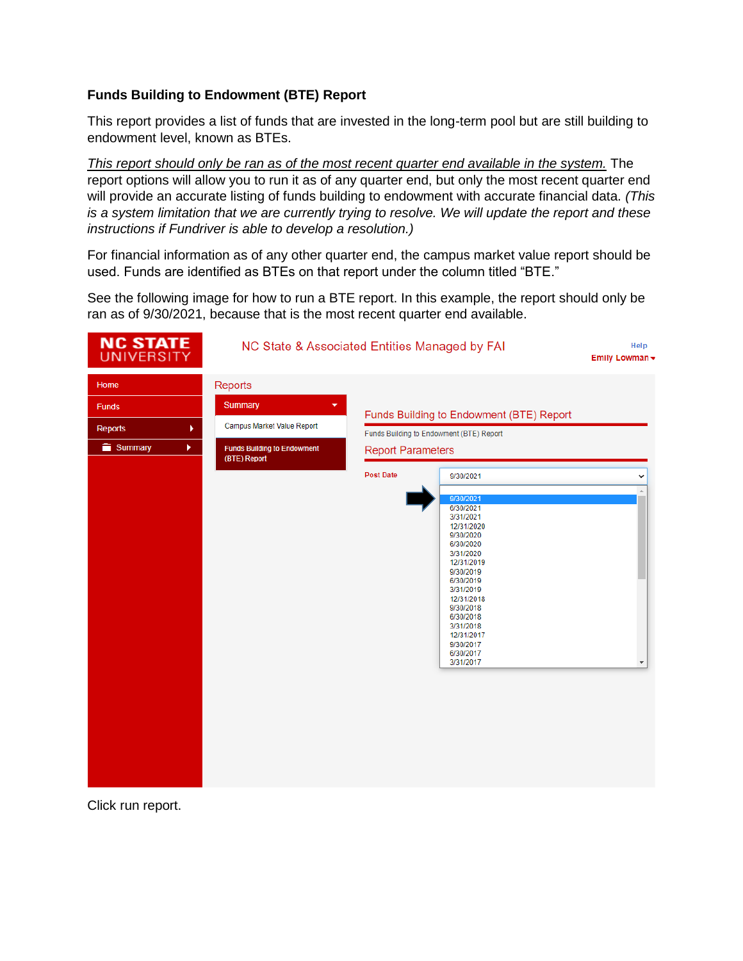# **Funds Building to Endowment (BTE) Report**

This report provides a list of funds that are invested in the long-term pool but are still building to endowment level, known as BTEs.

*This report should only be ran as of the most recent quarter end available in the system.* The report options will allow you to run it as of any quarter end, but only the most recent quarter end will provide an accurate listing of funds building to endowment with accurate financial data. *(This is a system limitation that we are currently trying to resolve. We will update the report and these instructions if Fundriver is able to develop a resolution.)*

For financial information as of any other quarter end, the campus market value report should be used. Funds are identified as BTEs on that report under the column titled "BTE."

See the following image for how to run a BTE report. In this example, the report should only be ran as of 9/30/2021, because that is the most recent quarter end available.

| <b>NC STATE</b><br><b>UNIVERSITY</b>                        | NC State & Associated Entities Managed by FAI                                                                      |                                              |                                                                                                                                                                                                                                                                                                                                                              | Help<br>Emily Lowman - |
|-------------------------------------------------------------|--------------------------------------------------------------------------------------------------------------------|----------------------------------------------|--------------------------------------------------------------------------------------------------------------------------------------------------------------------------------------------------------------------------------------------------------------------------------------------------------------------------------------------------------------|------------------------|
| Home<br><b>Funds</b><br><b>Reports</b><br>٠<br>Summary<br>× | Reports<br>Summary<br>۰<br><b>Campus Market Value Report</b><br><b>Funds Building to Endowment</b><br>(BTE) Report | <b>Report Parameters</b><br><b>Post Date</b> | Funds Building to Endowment (BTE) Report<br>Funds Building to Endowment (BTE) Report<br>9/30/2021<br>9/30/2021<br>6/30/2021<br>3/31/2021<br>12/31/2020<br>9/30/2020<br>6/30/2020<br>3/31/2020<br>12/31/2019<br>9/30/2019<br>6/30/2019<br>3/31/2019<br>12/31/2018<br>9/30/2018<br>6/30/2018<br>3/31/2018<br>12/31/2017<br>9/30/2017<br>6/30/2017<br>3/31/2017 |                        |
|                                                             |                                                                                                                    |                                              |                                                                                                                                                                                                                                                                                                                                                              |                        |

Click run report.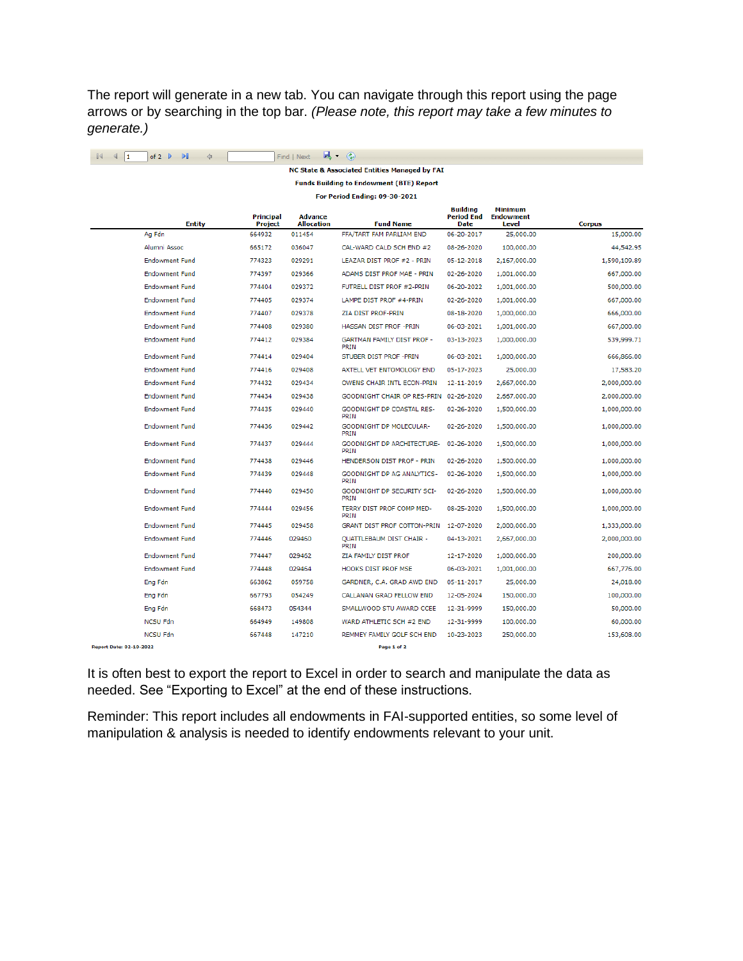The report will generate in a new tab. You can navigate through this report using the page arrows or by searching in the top bar. *(Please note, this report may take a few minutes to generate.)*

| 1                                               | of 2<br>ÞU<br>♦       |                      | Find   Next<br>щ.                   | $\circledast$                                 |                                              |                                             |               |  |  |  |
|-------------------------------------------------|-----------------------|----------------------|-------------------------------------|-----------------------------------------------|----------------------------------------------|---------------------------------------------|---------------|--|--|--|
|                                                 |                       |                      |                                     | NC State & Associated Entities Managed by FAI |                                              |                                             |               |  |  |  |
| <b>Funds Building to Endowment (BTE) Report</b> |                       |                      |                                     |                                               |                                              |                                             |               |  |  |  |
| For Period Ending: 09-30-2021                   |                       |                      |                                     |                                               |                                              |                                             |               |  |  |  |
|                                                 | <b>Entity</b>         | Principal<br>Project | <b>Advance</b><br><b>Allocation</b> | <b>Fund Name</b>                              | <b>Building</b><br><b>Period End</b><br>Date | <b>Minimum</b><br><b>Endowment</b><br>Level | <b>Corpus</b> |  |  |  |
|                                                 | Ag Fdn                | 664932               | 011454                              | FFA/TART FAM PARLIAM END                      | 06-20-2017                                   | 25,000.00                                   | 15,000.00     |  |  |  |
|                                                 | Alumni Assoc          | 665172               | 036047                              | CAL-WARD CALD SCH END #2                      | 08-26-2020                                   | 100,000.00                                  | 44,542.95     |  |  |  |
|                                                 | <b>Endowment Fund</b> | 774323               | 029291                              | LEAZAR DIST PROF #2 - PRIN                    | 05-12-2018                                   | 2,167,000.00                                | 1,590,109.89  |  |  |  |
|                                                 | <b>Endowment Fund</b> | 774397               | 029366                              | ADAMS DIST PROF MAE - PRIN                    | 02-26-2020                                   | 1,001,000.00                                | 667,000.00    |  |  |  |
|                                                 | <b>Endowment Fund</b> | 774404               | 029372                              | FUTRELL DIST PROF #2-PRIN                     | 06-20-2022                                   | 1,001,000.00                                | 500,000.00    |  |  |  |
|                                                 | <b>Endowment Fund</b> | 774405               | 029374                              | LAMPE DIST PROF #4-PRIN                       | 02-26-2020                                   | 1,001,000.00                                | 667,000.00    |  |  |  |
|                                                 | <b>Endowment Fund</b> | 774407               | 029378                              | ZIA DIST PROF-PRIN                            | 08-18-2020                                   | 1,000,000.00                                | 666,000.00    |  |  |  |
|                                                 | <b>Endowment Fund</b> | 774408               | 029380                              | HASSAN DIST PROF - PRIN                       | 06-03-2021                                   | 1,001,000.00                                | 667,000.00    |  |  |  |
|                                                 | <b>Endowment Fund</b> | 774412               | 029384                              | GARTMAN FAMILY DIST PROF -<br><b>PRIN</b>     | 03-13-2023                                   | 1,000,000.00                                | 539,999.71    |  |  |  |
|                                                 | <b>Endowment Fund</b> | 774414               | 029404                              | STUBER DIST PROF - PRIN                       | 06-03-2021                                   | 1,000,000.00                                | 666,866.00    |  |  |  |
|                                                 | <b>Endowment Fund</b> | 774416               | 029408                              | AXTELL VET ENTOMOLOGY END                     | 05-17-2023                                   | 25,000.00                                   | 17,583.20     |  |  |  |
|                                                 | <b>Endowment Fund</b> | 774432               | 029434                              | OWENS CHAIR INTL ECON-PRIN                    | 12-11-2019                                   | 2,667,000.00                                | 2,000,000.00  |  |  |  |
|                                                 | <b>Endowment Fund</b> | 774434               | 029438                              | GOODNIGHT CHAIR OP RES-PRIN                   | 02-26-2020                                   | 2,667,000.00                                | 2,000,000.00  |  |  |  |
|                                                 | <b>Endowment Fund</b> | 774435               | 029440                              | GOODNIGHT DP COASTAL RES-<br>PRIN             | 02-26-2020                                   | 1,500,000.00                                | 1,000,000.00  |  |  |  |
|                                                 | <b>Endowment Fund</b> | 774436               | 029442                              | GOODNIGHT DP MOLECULAR-<br>PRIN               | 02-26-2020                                   | 1,500,000.00                                | 1,000,000.00  |  |  |  |
|                                                 | <b>Endowment Fund</b> | 774437               | 029444                              | GOODNIGHT DP ARCHITECTURE-<br><b>PRIN</b>     | 02-26-2020                                   | 1,500,000.00                                | 1,000,000.00  |  |  |  |
|                                                 | <b>Endowment Fund</b> | 774438               | 029446                              | HENDERSON DIST PROF - PRIN                    | 02-26-2020                                   | 1,500,000.00                                | 1,000,000.00  |  |  |  |
|                                                 | <b>Endowment Fund</b> | 774439               | 029448                              | GOODNIGHT DP AG ANALYTICS-<br>PRIN            | 02-26-2020                                   | 1,500,000.00                                | 1,000,000.00  |  |  |  |
|                                                 | <b>Endowment Fund</b> | 774440               | 029450                              | GOODNIGHT DP SECURITY SCI-<br>PRIN            | 02-26-2020                                   | 1,500,000.00                                | 1,000,000.00  |  |  |  |
|                                                 | <b>Endowment Fund</b> | 774444               | 029456                              | TERRY DIST PROF COMP MED-<br><b>PRIN</b>      | 08-25-2020                                   | 1,500,000.00                                | 1,000,000.00  |  |  |  |
|                                                 | <b>Endowment Fund</b> | 774445               | 029458                              | GRANT DIST PROF COTTON-PRIN                   | 12-07-2020                                   | 2,000,000.00                                | 1,333,000.00  |  |  |  |
|                                                 | <b>Endowment Fund</b> | 774446               | 029460                              | <b>QUATTLEBAUM DIST CHAIR -</b><br>PRIN       | 04-13-2021                                   | 2,667,000.00                                | 2,000,000.00  |  |  |  |
|                                                 | <b>Endowment Fund</b> | 774447               | 029462                              | ZIA FAMILY DIST PROF                          | 12-17-2020                                   | 1,000,000.00                                | 200,000.00    |  |  |  |
|                                                 | <b>Endowment Fund</b> | 774448               | 029464                              | <b>HOOKS DIST PROF MSE</b>                    | 06-03-2021                                   | 1,001,000.00                                | 667,776.00    |  |  |  |
|                                                 | Eng Fdn               | 663862               | 059758                              | GARDNER, C.A. GRAD AWD END                    | 05-11-2017                                   | 25,000.00                                   | 24,018.00     |  |  |  |
|                                                 | Eng Fdn               | 667793               | 054249                              | CALLANAN GRAD FELLOW END                      | 12-05-2024                                   | 150,000.00                                  | 100,000.00    |  |  |  |
|                                                 | Eng Fdn               | 668473               | 054344                              | SMALLWOOD STU AWARD CCEE                      | 12-31-9999                                   | 150,000.00                                  | 50,000.00     |  |  |  |
|                                                 | <b>NCSU Fdn</b>       | 664949               | 149808                              | WARD ATHLETIC SCH #2 END                      | 12-31-9999                                   | 100,000.00                                  | 60,000.00     |  |  |  |
|                                                 | <b>NCSU Fdn</b>       | 667448               | 147210                              | REMMEY FAMILY GOLF SCH END                    | 10-23-2023                                   | 250,000.00                                  | 153,608.00    |  |  |  |
| Report Date: 02-10-2022                         |                       |                      |                                     | Page 1 of 2                                   |                                              |                                             |               |  |  |  |

It is often best to export the report to Excel in order to search and manipulate the data as needed. See "Exporting to Excel" at the end of these instructions.

Reminder: This report includes all endowments in FAI-supported entities, so some level of manipulation & analysis is needed to identify endowments relevant to your unit.